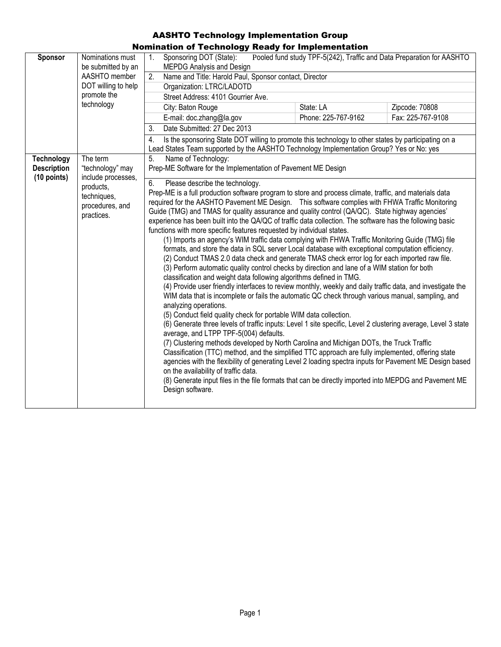| Sponsor                                                  | Nominations must<br>be submitted by an<br>AASHTO member<br>DOT willing to help<br>promote the<br>technology     | nauon or rechnology neawy for implementation<br>1 <sub>1</sub><br>Sponsoring DOT (State):<br><b>MEPDG Analysis and Design</b><br>Name and Title: Harold Paul, Sponsor contact, Director<br>2.<br>Organization: LTRC/LADOTD<br>Street Address: 4101 Gourrier Ave.<br>City: Baton Rouge<br>E-mail: doc.zhang@la.gov<br>Date Submitted: 27 Dec 2013<br>3.<br>4.                                                                                                                                                                                                                                                                                                                                                                                                                                                                                                                                                                                                                                                                                                                                                                                                                                                                                                                                                                                                                                                                                                                                                                                                                                                                                                                                                                                                                                                                                                                                                                                                                                                                                                                                                                                                                                                                                                              | Pooled fund study TPF-5(242), Traffic and Data Preparation for AASHTO<br>State: LA<br>Phone: 225-767-9162 | Zipcode: 70808<br>Fax: 225-767-9108 |
|----------------------------------------------------------|-----------------------------------------------------------------------------------------------------------------|---------------------------------------------------------------------------------------------------------------------------------------------------------------------------------------------------------------------------------------------------------------------------------------------------------------------------------------------------------------------------------------------------------------------------------------------------------------------------------------------------------------------------------------------------------------------------------------------------------------------------------------------------------------------------------------------------------------------------------------------------------------------------------------------------------------------------------------------------------------------------------------------------------------------------------------------------------------------------------------------------------------------------------------------------------------------------------------------------------------------------------------------------------------------------------------------------------------------------------------------------------------------------------------------------------------------------------------------------------------------------------------------------------------------------------------------------------------------------------------------------------------------------------------------------------------------------------------------------------------------------------------------------------------------------------------------------------------------------------------------------------------------------------------------------------------------------------------------------------------------------------------------------------------------------------------------------------------------------------------------------------------------------------------------------------------------------------------------------------------------------------------------------------------------------------------------------------------------------------------------------------------------------|-----------------------------------------------------------------------------------------------------------|-------------------------------------|
| <b>Technology</b><br><b>Description</b><br>$(10$ points) | The term<br>"technology" may<br>include processes,<br>products,<br>techniques,<br>procedures, and<br>practices. | Is the sponsoring State DOT willing to promote this technology to other states by participating on a<br>Lead States Team supported by the AASHTO Technology Implementation Group? Yes or No: yes<br>Name of Technology:<br>5.<br>Prep-ME Software for the Implementation of Pavement ME Design<br>6.<br>Please describe the technology.<br>Prep-ME is a full production software program to store and process climate, traffic, and materials data<br>required for the AASHTO Pavement ME Design.  This software complies with FHWA Traffic Monitoring<br>Guide (TMG) and TMAS for quality assurance and quality control (QA/QC). State highway agencies'<br>experience has been built into the QA/QC of traffic data collection. The software has the following basic<br>functions with more specific features requested by individual states.<br>(1) Imports an agency's WIM traffic data complying with FHWA Traffic Monitoring Guide (TMG) file<br>formats, and store the data in SQL server Local database with exceptional computation efficiency.<br>(2) Conduct TMAS 2.0 data check and generate TMAS check error log for each imported raw file.<br>(3) Perform automatic quality control checks by direction and lane of a WIM station for both<br>classification and weight data following algorithms defined in TMG.<br>(4) Provide user friendly interfaces to review monthly, weekly and daily traffic data, and investigate the<br>WIM data that is incomplete or fails the automatic QC check through various manual, sampling, and<br>analyzing operations.<br>(5) Conduct field quality check for portable WIM data collection.<br>(6) Generate three levels of traffic inputs: Level 1 site specific, Level 2 clustering average, Level 3 state<br>average, and LTPP TPF-5(004) defaults.<br>(7) Clustering methods developed by North Carolina and Michigan DOTs, the Truck Traffic<br>Classification (TTC) method, and the simplified TTC approach are fully implemented, offering state<br>agencies with the flexibility of generating Level 2 loading spectra inputs for Pavement ME Design based<br>on the availability of traffic data.<br>(8) Generate input files in the file formats that can be directly imported into MEPDG and Pavement ME |                                                                                                           |                                     |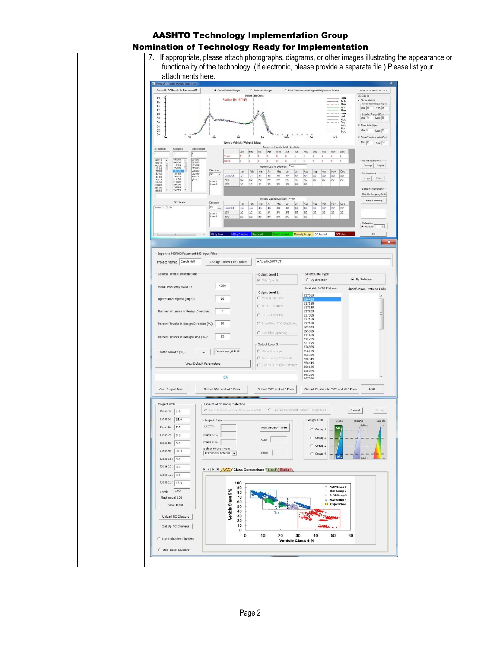| 7. If appropriate, please attach photographs, diagrams, or other images illustrating the appearance or<br>functionality of the technology. (If electronic, please provide a separate file.) Please list your                                                                                                                                                                                                                                                                                                                                                                                                  |                                                                                                                                                                                                                                                                                                                                                                            |                                                                                                                                                                                                                             |                                                                                                                                                                                                                                                                                                                                                                                                                     |  |
|---------------------------------------------------------------------------------------------------------------------------------------------------------------------------------------------------------------------------------------------------------------------------------------------------------------------------------------------------------------------------------------------------------------------------------------------------------------------------------------------------------------------------------------------------------------------------------------------------------------|----------------------------------------------------------------------------------------------------------------------------------------------------------------------------------------------------------------------------------------------------------------------------------------------------------------------------------------------------------------------------|-----------------------------------------------------------------------------------------------------------------------------------------------------------------------------------------------------------------------------|---------------------------------------------------------------------------------------------------------------------------------------------------------------------------------------------------------------------------------------------------------------------------------------------------------------------------------------------------------------------------------------------------------------------|--|
| attachments here.                                                                                                                                                                                                                                                                                                                                                                                                                                                                                                                                                                                             |                                                                                                                                                                                                                                                                                                                                                                            |                                                                                                                                                                                                                             |                                                                                                                                                                                                                                                                                                                                                                                                                     |  |
| Prep-ME - Traffic Weight Data Check<br>Assemble QC Results for Pavement-ME<br>G Gross Vehicle Weight                                                                                                                                                                                                                                                                                                                                                                                                                                                                                                          | ← Front Ade Weight                                                                                                                                                                                                                                                                                                                                                         | C Drive Tandem Ade Weight of Fully loaded Trucks                                                                                                                                                                            | RUN QUALITY CONTROL                                                                                                                                                                                                                                                                                                                                                                                                 |  |
| 19<br><b>Station ID: 137159</b><br>16<br>14<br>12<br>10<br>08<br>06<br>04<br>02<br>00<br>60<br>20<br>00<br>Gross Vehicle Weight (kips)                                                                                                                                                                                                                                                                                                                                                                                                                                                                        | Weight Data Check<br>80<br>100                                                                                                                                                                                                                                                                                                                                             | Feb<br>Mar<br>------<br>Apr<br>May<br>$\frac{Jun}{Jul}$<br>Aug<br>Sep<br>Oct<br>------<br>Nov<br>$-\cdots$ Dec<br>140<br>120                                                                                                | QC Criteria<br>$\overline{\smash{\varphi}}$ Gross Weight<br>Unloaded Range (Kips):<br>Min. 28 Max 36<br>$\begin{array}{ l } \hline \texttt{Loaded Range (Kips)} \\ \hline \texttt{Min:} & 72 \end{array}$ Max $\begin{array}{ l } \hline \texttt{Max:} & 80 \\ \hline \end{array}$<br>Front Axle (Kips):<br>$Min \begin{bmatrix} 3 & \text{Max} \end{bmatrix}$ 12<br>T Drive Tandem Axle (Kips):<br>Min: 30 Max: 36 |  |
| All Stations<br>Accepted<br>Unaccepted<br>33<br><b>B</b><br>037319<br>064249<br>037319<br>064249<br>096429<br>096429<br>117189<br>127269<br>387029<br>403069<br>615289<br>117189<br>Direction<br>127269<br>137159<br>137169<br>705099<br>752199<br>ABC123<br>ghtra<br>137169<br>195019<br>211459<br>$D3 - 2$<br>4/4<br>Good/Alt<br>195019<br>2011<br>$2/2$<br>Lane 1<br>Lane 2<br>211459<br>212229<br>22<br>2012<br>221199<br>238869<br>256119<br>221199<br>238869<br>QC Details<br><b>Direction</b>                                                                                                          | Summary of Available Monthly Data<br>Jan Feb Mar Apr May Jun Jul Aug Sep Oct Nov Dec<br>8<br>6<br>18<br>8<br>Monthly Data for Direction: East<br>Jan Feb Mar Apr May Jun Jul Aug Sep Oct Nov Dec<br>4/4<br>4/4<br>$4/4$ $4/4$ $4/4$<br>4/4<br>$2/2\,$<br>$2/2\,$<br>2/2<br>2/2<br>2/2<br>2/2<br>2/2<br>2/2<br>2/2<br>2/2<br>2/2<br>2/2<br>Monthly Data for Direction: West | 4.<br>4<br>4<br>$\frac{4}{3}$<br>$\overline{5}$<br>4/4 2/2 2/2 2/2 2/2<br>2/2<br>2/2<br>2/2<br>2/2<br>2/2<br>2/2                                                                                                            | Manual Operations:<br>Acccept Reject<br>Replacemen<br>Copy Paste<br>Sampling Operations<br>Monthly Sampling (MS)<br>Daily Sampling                                                                                                                                                                                                                                                                                  |  |
| $D7 - $<br>Station ID: 137159<br>Good/All:<br>4/4<br>2011<br>2/2<br>Lane 1<br>Lane 2<br>2012<br>2/2<br>MS by Lane<br>MS by Direction Replaced                                                                                                                                                                                                                                                                                                                                                                                                                                                                 | Jan Feb Mar Apr May Jun Jul Aug Sep Oct Nov Dec<br>$2/2 \hspace{1.1cm} 2/2 \hspace{1.1cm} 2/2 \hspace{1.1cm} 2/2 \hspace{1.1cm} 2/2$<br>2/2<br>2/2<br>2/2<br>2/2<br>2/2<br>2/2<br>2/2<br>2/2                                                                                                                                                                               | $2/2 \qquad 2/2 \qquad 2/2 \qquad 2/2 \qquad 2/2$<br>2/2<br>Manually Accept. QC Passed<br>2C Faile                                                                                                                          | Relaxation<br>$\overline{z}$<br>G Multiplier<br>EX1<br>$\mathbf{x}$                                                                                                                                                                                                                                                                                                                                                 |  |
| Export to MEPDG/Pavement-ME Input Files                                                                                                                                                                                                                                                                                                                                                                                                                                                                                                                                                                       |                                                                                                                                                                                                                                                                                                                                                                            |                                                                                                                                                                                                                             |                                                                                                                                                                                                                                                                                                                                                                                                                     |  |
| Project Name: Czech Hall<br>Change Export File Folder:                                                                                                                                                                                                                                                                                                                                                                                                                                                                                                                                                        | A:\trafficOUTPUT                                                                                                                                                                                                                                                                                                                                                           |                                                                                                                                                                                                                             |                                                                                                                                                                                                                                                                                                                                                                                                                     |  |
| General Traffic Information:                                                                                                                                                                                                                                                                                                                                                                                                                                                                                                                                                                                  | Output Level 1:                                                                                                                                                                                                                                                                                                                                                            | Select Data Type                                                                                                                                                                                                            |                                                                                                                                                                                                                                                                                                                                                                                                                     |  |
| 4200<br>Initial Two-Way AADTT:                                                                                                                                                                                                                                                                                                                                                                                                                                                                                                                                                                                | G Site-Specific                                                                                                                                                                                                                                                                                                                                                            | C By Direction<br>Available WIM Stations:                                                                                                                                                                                   | G By Satation                                                                                                                                                                                                                                                                                                                                                                                                       |  |
| 60<br>Operational Speed (mph):                                                                                                                                                                                                                                                                                                                                                                                                                                                                                                                                                                                | Output Level 2:<br>C MIDOT Method<br>C NCDOT Method                                                                                                                                                                                                                                                                                                                        | 037319<br>117139<br>117189                                                                                                                                                                                                  | Classification Stations Only:                                                                                                                                                                                                                                                                                                                                                                                       |  |
| Number of Lanes in Design Direction:<br>$\overline{2}$<br>Percent Trucks in Design Direction (%):<br>50                                                                                                                                                                                                                                                                                                                                                                                                                                                                                                       | C TTC Clustering<br>C Simplified TTC Clusterin                                                                                                                                                                                                                                                                                                                             | 127269<br>137069<br>137159<br>137169                                                                                                                                                                                        |                                                                                                                                                                                                                                                                                                                                                                                                                     |  |
| 95<br>Percent Trucks in Design Lane (%):                                                                                                                                                                                                                                                                                                                                                                                                                                                                                                                                                                      | C Flexible Clustering                                                                                                                                                                                                                                                                                                                                                      | 183029<br>195019<br>211459<br>212229<br>221199                                                                                                                                                                              |                                                                                                                                                                                                                                                                                                                                                                                                                     |  |
| Compound, 4.0 %<br>Traffic Growth (%):                                                                                                                                                                                                                                                                                                                                                                                                                                                                                                                                                                        | Output Level 3:<br>C State Average<br>C Pavement ME Default                                                                                                                                                                                                                                                                                                                | 238869<br>256119<br>256309<br>256349                                                                                                                                                                                        |                                                                                                                                                                                                                                                                                                                                                                                                                     |  |
| View Default Parameters                                                                                                                                                                                                                                                                                                                                                                                                                                                                                                                                                                                       | C LTPP TPF-5(004) Default                                                                                                                                                                                                                                                                                                                                                  | 256449<br>308129<br>338029                                                                                                                                                                                                  |                                                                                                                                                                                                                                                                                                                                                                                                                     |  |
| $0\%$                                                                                                                                                                                                                                                                                                                                                                                                                                                                                                                                                                                                         |                                                                                                                                                                                                                                                                                                                                                                            | 345299<br>387070                                                                                                                                                                                                            |                                                                                                                                                                                                                                                                                                                                                                                                                     |  |
| View Output Data<br>Output XML and ALF Files                                                                                                                                                                                                                                                                                                                                                                                                                                                                                                                                                                  | Output TXT and ALF Files                                                                                                                                                                                                                                                                                                                                                   | Output Clusters to TXT and ALF Files                                                                                                                                                                                        | EXIT                                                                                                                                                                                                                                                                                                                                                                                                                |  |
| Project VCD<br>Level 2 ALDF Group Selection<br>Class 4: 1.8<br>Class 5: $24.6$<br>Project Data<br>AADTT:<br>Class 6: 7.6<br>Class 7: 0.5<br>Class 5 %<br>Class 9 %<br>Class 8: $5.0$<br>Select Route Type:<br>Class 9: 31.3<br>0:Primary Arterial $\blacktriangleright$<br>Class 10: 9.8<br>Class 11: $0.8$<br>II I I I VCD Class Comparison Load Station<br>Class 12: 3.3<br>Class 13: $\boxed{15.3}$<br>100<br>90<br>Vehicle Class 9%<br>Total: 100<br>80<br>70<br>Must equal 100<br>60<br>Save Input<br>50<br>40<br>30<br>Upload NC Clusters<br>20<br>10<br>Set Up NC Clusters<br>$\mathbf{0}$<br>$\bf{0}$ | C Rigid Pavement -Use Statewide ALDF C Flexible Pavement -Select Design ALDF<br>Run Decision Tree<br>ALDF<br>Basis<br>10<br>20<br>30                                                                                                                                                                                                                                       | nesign wrns<br>Class<br>$\mathsf{su}$<br>$\cap$ Group 1 $-$<br>$\subset$ Group 2<br>C Group 3<br>$C$ Group 4<br>/ MU<br>ALDF Group 1<br>ALDF Group 2<br>* ALDF Group 3<br>ALDF Group 4<br>O Project Class<br>60<br>40<br>50 | Cancel<br>Accept<br>Route<br>Loads<br>/ Minor                                                                                                                                                                                                                                                                                                                                                                       |  |
| C Use Uploaded Clusters<br>C Use Local Clusters                                                                                                                                                                                                                                                                                                                                                                                                                                                                                                                                                               | Vehicle Class 5 %                                                                                                                                                                                                                                                                                                                                                          |                                                                                                                                                                                                                             |                                                                                                                                                                                                                                                                                                                                                                                                                     |  |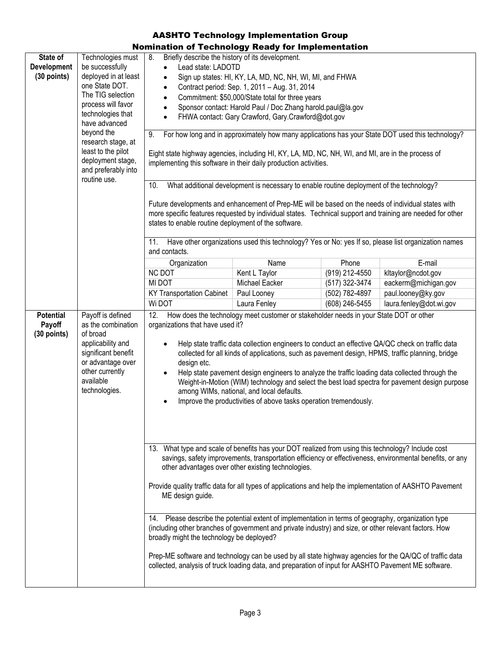| State of<br><b>Development</b><br>$(30$ points) | Technologies must<br>be successfully<br>deployed in at least<br>one State DOT.<br>The TIG selection<br>process will favor<br>technologies that<br>have advanced<br>beyond the<br>research stage, at<br>least to the pilot<br>deployment stage,<br>and preferably into<br>routine use.                                                                                                                                                                                                                       | ----<br>Briefly describe the history of its development.<br>8.<br>Lead state: LADOTD<br>$\bullet$<br>Sign up states: HI, KY, LA, MD, NC, NH, WI, MI, and FHWA<br>$\bullet$<br>Contract period: Sep. 1, 2011 - Aug. 31, 2014<br>$\bullet$<br>Commitment: \$50,000/State total for three years<br>$\bullet$<br>Sponsor contact: Harold Paul / Doc Zhang harold.paul@la.gov<br>$\bullet$<br>FHWA contact: Gary Crawford, Gary.Crawford@dot.gov<br>$\bullet$<br>For how long and in approximately how many applications has your State DOT used this technology?<br>9.<br>Eight state highway agencies, including HI, KY, LA, MD, NC, NH, WI, and MI, are in the process of<br>implementing this software in their daily production activities. |                |                |                         |
|-------------------------------------------------|-------------------------------------------------------------------------------------------------------------------------------------------------------------------------------------------------------------------------------------------------------------------------------------------------------------------------------------------------------------------------------------------------------------------------------------------------------------------------------------------------------------|---------------------------------------------------------------------------------------------------------------------------------------------------------------------------------------------------------------------------------------------------------------------------------------------------------------------------------------------------------------------------------------------------------------------------------------------------------------------------------------------------------------------------------------------------------------------------------------------------------------------------------------------------------------------------------------------------------------------------------------------|----------------|----------------|-------------------------|
|                                                 | 10.<br>What additional development is necessary to enable routine deployment of the technology?<br>Future developments and enhancement of Prep-ME will be based on the needs of individual states with<br>more specific features requested by individual states. Technical support and training are needed for other<br>states to enable routine deployment of the software.<br>Have other organizations used this technology? Yes or No: yes If so, please list organization names<br>11.<br>and contacts. |                                                                                                                                                                                                                                                                                                                                                                                                                                                                                                                                                                                                                                                                                                                                             |                |                |                         |
|                                                 |                                                                                                                                                                                                                                                                                                                                                                                                                                                                                                             | Organization                                                                                                                                                                                                                                                                                                                                                                                                                                                                                                                                                                                                                                                                                                                                | Name           | Phone          | E-mail                  |
|                                                 |                                                                                                                                                                                                                                                                                                                                                                                                                                                                                                             | <b>NC DOT</b>                                                                                                                                                                                                                                                                                                                                                                                                                                                                                                                                                                                                                                                                                                                               | Kent L Taylor  | (919) 212-4550 | kltaylor@ncdot.gov      |
|                                                 |                                                                                                                                                                                                                                                                                                                                                                                                                                                                                                             | MI DOT                                                                                                                                                                                                                                                                                                                                                                                                                                                                                                                                                                                                                                                                                                                                      | Michael Eacker | (517) 322-3474 | eackerm@michigan.gov    |
|                                                 |                                                                                                                                                                                                                                                                                                                                                                                                                                                                                                             | <b>KY Transportation Cabinet</b>                                                                                                                                                                                                                                                                                                                                                                                                                                                                                                                                                                                                                                                                                                            | Paul Looney    | (502) 782-4897 | paul.looney@ky.gov      |
|                                                 |                                                                                                                                                                                                                                                                                                                                                                                                                                                                                                             | Wi DOT                                                                                                                                                                                                                                                                                                                                                                                                                                                                                                                                                                                                                                                                                                                                      | Laura Fenley   | (608) 246-5455 | laura.fenley@dot.wi.gov |
| <b>Potential</b><br>Payoff<br>(30 points)       | Payoff is defined<br>as the combination<br>of broad<br>applicability and<br>significant benefit<br>or advantage over<br>other currently<br>available<br>technologies.                                                                                                                                                                                                                                                                                                                                       | 12.<br>How does the technology meet customer or stakeholder needs in your State DOT or other<br>organizations that have used it?<br>Help state traffic data collection engineers to conduct an effective QA/QC check on traffic data<br>collected for all kinds of applications, such as pavement design, HPMS, traffic planning, bridge<br>design etc.<br>Help state pavement design engineers to analyze the traffic loading data collected through the<br>$\bullet$<br>Weight-in-Motion (WIM) technology and select the best load spectra for pavement design purpose<br>among WIMs, national, and local defaults.<br>Improve the productivities of above tasks operation tremendously.<br>$\bullet$                                     |                |                |                         |
|                                                 |                                                                                                                                                                                                                                                                                                                                                                                                                                                                                                             | 13. What type and scale of benefits has your DOT realized from using this technology? Include cost<br>savings, safety improvements, transportation efficiency or effectiveness, environmental benefits, or any<br>other advantages over other existing technologies.<br>Provide quality traffic data for all types of applications and help the implementation of AASHTO Pavement<br>ME design guide.                                                                                                                                                                                                                                                                                                                                       |                |                |                         |
|                                                 |                                                                                                                                                                                                                                                                                                                                                                                                                                                                                                             |                                                                                                                                                                                                                                                                                                                                                                                                                                                                                                                                                                                                                                                                                                                                             |                |                |                         |
|                                                 |                                                                                                                                                                                                                                                                                                                                                                                                                                                                                                             | 14. Please describe the potential extent of implementation in terms of geography, organization type<br>(including other branches of government and private industry) and size, or other relevant factors. How<br>broadly might the technology be deployed?<br>Prep-ME software and technology can be used by all state highway agencies for the QA/QC of traffic data                                                                                                                                                                                                                                                                                                                                                                       |                |                |                         |
|                                                 |                                                                                                                                                                                                                                                                                                                                                                                                                                                                                                             | collected, analysis of truck loading data, and preparation of input for AASHTO Pavement ME software.                                                                                                                                                                                                                                                                                                                                                                                                                                                                                                                                                                                                                                        |                |                |                         |